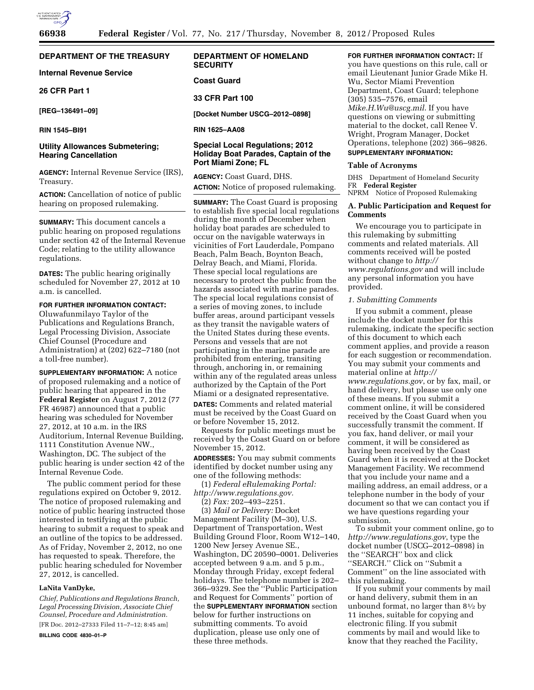# **DEPARTMENT OF THE TREASURY**

**Internal Revenue Service** 

# **26 CFR Part 1**

**[REG–136491–09]** 

**RIN 1545–BI91** 

# **Utility Allowances Submetering; Hearing Cancellation**

**AGENCY:** Internal Revenue Service (IRS), Treasury.

**ACTION:** Cancellation of notice of public hearing on proposed rulemaking.

**SUMMARY:** This document cancels a public hearing on proposed regulations under section 42 of the Internal Revenue Code; relating to the utility allowance regulations.

**DATES:** The public hearing originally scheduled for November 27, 2012 at 10 a.m. is cancelled.

### **FOR FURTHER INFORMATION CONTACT:**

Oluwafunmilayo Taylor of the Publications and Regulations Branch, Legal Processing Division, Associate Chief Counsel (Procedure and Administration) at (202) 622–7180 (not a toll-free number).

**SUPPLEMENTARY INFORMATION:** A notice of proposed rulemaking and a notice of public hearing that appeared in the **Federal Register** on August 7, 2012 (77 FR 46987) announced that a public hearing was scheduled for November 27, 2012, at 10 a.m. in the IRS Auditorium, Internal Revenue Building, 1111 Constitution Avenue NW., Washington, DC. The subject of the public hearing is under section 42 of the Internal Revenue Code.

The public comment period for these regulations expired on October 9, 2012. The notice of proposed rulemaking and notice of public hearing instructed those interested in testifying at the public hearing to submit a request to speak and an outline of the topics to be addressed. As of Friday, November 2, 2012, no one has requested to speak. Therefore, the public hearing scheduled for November 27, 2012, is cancelled.

## **LaNita VanDyke,**

*Chief, Publications and Regulations Branch, Legal Processing Division, Associate Chief Counsel, Procedure and Administration.*  [FR Doc. 2012–27333 Filed 11–7–12; 8:45 am]

**BILLING CODE 4830–01–P** 

# **DEPARTMENT OF HOMELAND SECURITY**

## **Coast Guard**

### **33 CFR Part 100**

**[Docket Number USCG–2012–0898]** 

**RIN 1625–AA08** 

# **Special Local Regulations; 2012 Holiday Boat Parades, Captain of the Port Miami Zone; FL**

**AGENCY:** Coast Guard, DHS. **ACTION:** Notice of proposed rulemaking.

**SUMMARY:** The Coast Guard is proposing to establish five special local regulations during the month of December when holiday boat parades are scheduled to occur on the navigable waterways in vicinities of Fort Lauderdale, Pompano Beach, Palm Beach, Boynton Beach, Delray Beach, and Miami, Florida. These special local regulations are necessary to protect the public from the hazards associated with marine parades. The special local regulations consist of a series of moving zones, to include buffer areas, around participant vessels as they transit the navigable waters of the United States during these events. Persons and vessels that are not participating in the marine parade are prohibited from entering, transiting through, anchoring in, or remaining within any of the regulated areas unless authorized by the Captain of the Port Miami or a designated representative. **DATES:** Comments and related material must be received by the Coast Guard on or before November 15, 2012.

Requests for public meetings must be received by the Coast Guard on or before November 15, 2012.

**ADDRESSES:** You may submit comments identified by docket number using any one of the following methods:

(1) *Federal eRulemaking Portal: [http://www.regulations.gov.](http://www.regulations.gov)* 

(2) *Fax:* 202–493–2251. (3) *Mail or Delivery:* Docket Management Facility (M–30), U.S. Department of Transportation, West Building Ground Floor, Room W12–140, 1200 New Jersey Avenue SE., Washington, DC 20590–0001. Deliveries accepted between 9 a.m. and 5 p.m., Monday through Friday, except federal holidays. The telephone number is 202– 366–9329. See the ''Public Participation and Request for Comments'' portion of the **SUPPLEMENTARY INFORMATION** section below for further instructions on submitting comments. To avoid duplication, please use only one of these three methods.

**FOR FURTHER INFORMATION CONTACT:** If you have questions on this rule, call or email Lieutenant Junior Grade Mike H. Wu, Sector Miami Prevention Department, Coast Guard; telephone (305) 535–7576, email *[Mike.H.Wu@uscg.mil](mailto:Mike.H.Wu@uscg.mil)*. If you have questions on viewing or submitting material to the docket, call Renee V. Wright, Program Manager, Docket Operations, telephone (202) 366–9826. **SUPPLEMENTARY INFORMATION:** 

#### **Table of Acronyms**

DHS Department of Homeland Security FR **Federal Register**  NPRM Notice of Proposed Rulemaking

# **A. Public Participation and Request for Comments**

We encourage you to participate in this rulemaking by submitting comments and related materials. All comments received will be posted without change to *[http://](http://www.regulations.gov) [www.regulations.gov](http://www.regulations.gov)* and will include any personal information you have provided.

# *1. Submitting Comments*

If you submit a comment, please include the docket number for this rulemaking, indicate the specific section of this document to which each comment applies, and provide a reason for each suggestion or recommendation. You may submit your comments and material online at *[http://](http://www.regulations.gov)  [www.regulations.gov](http://www.regulations.gov)*, or by fax, mail, or hand delivery, but please use only one of these means. If you submit a comment online, it will be considered received by the Coast Guard when you successfully transmit the comment. If you fax, hand deliver, or mail your comment, it will be considered as having been received by the Coast Guard when it is received at the Docket Management Facility. We recommend that you include your name and a mailing address, an email address, or a telephone number in the body of your document so that we can contact you if we have questions regarding your submission.

To submit your comment online, go to *<http://www.regulations.gov>*, type the docket number (USCG–2012–0898) in the ''SEARCH'' box and click ''SEARCH.'' Click on ''Submit a Comment'' on the line associated with this rulemaking.

If you submit your comments by mail or hand delivery, submit them in an unbound format, no larger than 81⁄2 by 11 inches, suitable for copying and electronic filing. If you submit comments by mail and would like to know that they reached the Facility,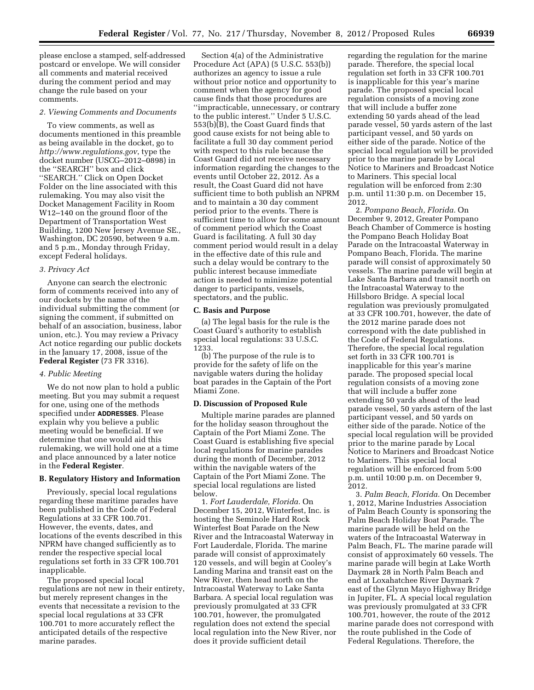please enclose a stamped, self-addressed postcard or envelope. We will consider all comments and material received during the comment period and may change the rule based on your comments.

#### *2. Viewing Comments and Documents*

To view comments, as well as documents mentioned in this preamble as being available in the docket, go to *<http://www.regulations.gov>*, type the docket number (USCG–2012–0898) in the ''SEARCH'' box and click ''SEARCH.'' Click on Open Docket Folder on the line associated with this rulemaking. You may also visit the Docket Management Facility in Room W12–140 on the ground floor of the Department of Transportation West Building, 1200 New Jersey Avenue SE., Washington, DC 20590, between 9 a.m. and 5 p.m., Monday through Friday, except Federal holidays.

### *3. Privacy Act*

Anyone can search the electronic form of comments received into any of our dockets by the name of the individual submitting the comment (or signing the comment, if submitted on behalf of an association, business, labor union, etc.). You may review a Privacy Act notice regarding our public dockets in the January 17, 2008, issue of the **Federal Register** (73 FR 3316).

### *4. Public Meeting*

We do not now plan to hold a public meeting. But you may submit a request for one, using one of the methods specified under **ADDRESSES**. Please explain why you believe a public meeting would be beneficial. If we determine that one would aid this rulemaking, we will hold one at a time and place announced by a later notice in the **Federal Register**.

#### **B. Regulatory History and Information**

Previously, special local regulations regarding these maritime parades have been published in the Code of Federal Regulations at 33 CFR 100.701. However, the events, dates, and locations of the events described in this NPRM have changed sufficiently as to render the respective special local regulations set forth in 33 CFR 100.701 inapplicable.

The proposed special local regulations are not new in their entirety, but merely represent changes in the events that necessitate a revision to the special local regulations at 33 CFR 100.701 to more accurately reflect the anticipated details of the respective marine parades.

Section 4(a) of the Administrative Procedure Act (APA) (5 U.S.C. 553(b)) authorizes an agency to issue a rule without prior notice and opportunity to comment when the agency for good cause finds that those procedures are ''impracticable, unnecessary, or contrary to the public interest.'' Under 5 U.S.C. 553(b)(B), the Coast Guard finds that good cause exists for not being able to facilitate a full 30 day comment period with respect to this rule because the Coast Guard did not receive necessary information regarding the changes to the events until October 22, 2012. As a result, the Coast Guard did not have sufficient time to both publish an NPRM and to maintain a 30 day comment period prior to the events. There is sufficient time to allow for some amount of comment period which the Coast Guard is facilitating. A full 30 day comment period would result in a delay in the effective date of this rule and such a delay would be contrary to the public interest because immediate action is needed to minimize potential danger to participants, vessels, spectators, and the public.

### **C. Basis and Purpose**

(a) The legal basis for the rule is the Coast Guard's authority to establish special local regulations: 33 U.S.C. 1233.

(b) The purpose of the rule is to provide for the safety of life on the navigable waters during the holiday boat parades in the Captain of the Port Miami Zone.

#### **D. Discussion of Proposed Rule**

Multiple marine parades are planned for the holiday season throughout the Captain of the Port Miami Zone. The Coast Guard is establishing five special local regulations for marine parades during the month of December, 2012 within the navigable waters of the Captain of the Port Miami Zone. The special local regulations are listed below.

1. *Fort Lauderdale, Florida.* On December 15, 2012, Winterfest, Inc. is hosting the Seminole Hard Rock Winterfest Boat Parade on the New River and the Intracoastal Waterway in Fort Lauderdale, Florida. The marine parade will consist of approximately 120 vessels, and will begin at Cooley's Landing Marina and transit east on the New River, then head north on the Intracoastal Waterway to Lake Santa Barbara. A special local regulation was previously promulgated at 33 CFR 100.701, however, the promulgated regulation does not extend the special local regulation into the New River, nor does it provide sufficient detail

regarding the regulation for the marine parade. Therefore, the special local regulation set forth in 33 CFR 100.701 is inapplicable for this year's marine parade. The proposed special local regulation consists of a moving zone that will include a buffer zone extending 50 yards ahead of the lead parade vessel, 50 yards astern of the last participant vessel, and 50 yards on either side of the parade. Notice of the special local regulation will be provided prior to the marine parade by Local Notice to Mariners and Broadcast Notice to Mariners. This special local regulation will be enforced from 2:30 p.m. until 11:30 p.m. on December 15, 2012.

2. *Pompano Beach, Florida.* On December 9, 2012, Greater Pompano Beach Chamber of Commerce is hosting the Pompano Beach Holiday Boat Parade on the Intracoastal Waterway in Pompano Beach, Florida. The marine parade will consist of approximately 50 vessels. The marine parade will begin at Lake Santa Barbara and transit north on the Intracoastal Waterway to the Hillsboro Bridge. A special local regulation was previously promulgated at 33 CFR 100.701, however, the date of the 2012 marine parade does not correspond with the date published in the Code of Federal Regulations. Therefore, the special local regulation set forth in 33 CFR 100.701 is inapplicable for this year's marine parade. The proposed special local regulation consists of a moving zone that will include a buffer zone extending 50 yards ahead of the lead parade vessel, 50 yards astern of the last participant vessel, and 50 yards on either side of the parade. Notice of the special local regulation will be provided prior to the marine parade by Local Notice to Mariners and Broadcast Notice to Mariners. This special local regulation will be enforced from 5:00 p.m. until 10:00 p.m. on December 9, 2012.

3. *Palm Beach, Florida.* On December 1, 2012, Marine Industries Association of Palm Beach County is sponsoring the Palm Beach Holiday Boat Parade. The marine parade will be held on the waters of the Intracoastal Waterway in Palm Beach, FL. The marine parade will consist of approximately 60 vessels. The marine parade will begin at Lake Worth Daymark 28 in North Palm Beach and end at Loxahatchee River Daymark 7 east of the Glynn Mayo Highway Bridge in Jupiter, FL. A special local regulation was previously promulgated at 33 CFR 100.701, however, the route of the 2012 marine parade does not correspond with the route published in the Code of Federal Regulations. Therefore, the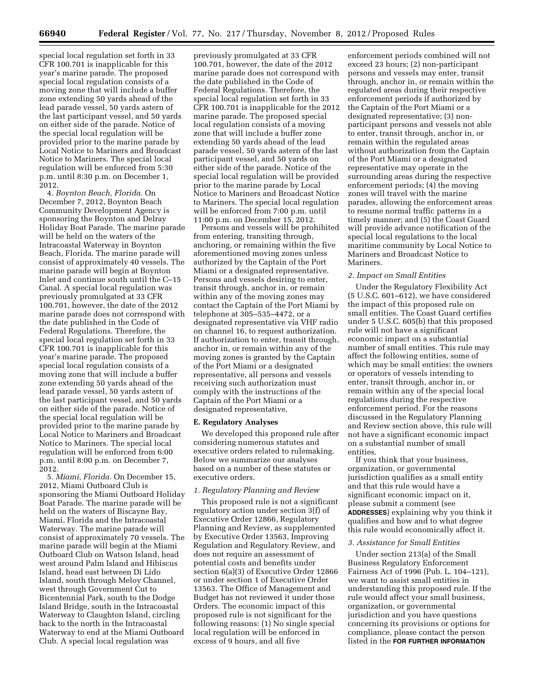special local regulation set forth in 33 CFR 100.701 is inapplicable for this year's marine parade. The proposed special local regulation consists of a moving zone that will include a buffer zone extending 50 yards ahead of the lead parade vessel, 50 yards astern of the last participant vessel, and 50 yards on either side of the parade. Notice of the special local regulation will be provided prior to the marine parade by Local Notice to Mariners and Broadcast Notice to Mariners. The special local regulation will be enforced from 5:30 p.m. until 8:30 p.m. on December 1, 2012.

4. *Boynton Beach, Florida.* On December 7, 2012, Boynton Beach Community Development Agency is sponsoring the Boynton and Delray Holiday Boat Parade. The marine parade will be held on the waters of the Intracoastal Waterway in Boynton Beach, Florida. The marine parade will consist of approximately 40 vessels. The marine parade will begin at Boynton Inlet and continue south until the C–15 Canal. A special local regulation was previously promulgated at 33 CFR 100.701, however, the date of the 2012 marine parade does not correspond with the date published in the Code of Federal Regulations. Therefore, the special local regulation set forth in 33 CFR 100.701 is inapplicable for this year's marine parade. The proposed special local regulation consists of a moving zone that will include a buffer zone extending 50 yards ahead of the lead parade vessel, 50 yards astern of the last participant vessel, and 50 yards on either side of the parade. Notice of the special local regulation will be provided prior to the marine parade by Local Notice to Mariners and Broadcast Notice to Mariners. The special local regulation will be enforced from 6:00 p.m. until 8:00 p.m. on December 7, 2012.

5. *Miami, Florida.* On December 15, 2012, Miami Outboard Club is sponsoring the Miami Outboard Holiday Boat Parade. The marine parade will be held on the waters of Biscayne Bay, Miami, Florida and the Intracoastal Waterway. The marine parade will consist of approximately 70 vessels. The marine parade will begin at the Miami Outboard Club on Watson Island, head west around Palm Island and Hibiscus Island, head east between Di Lido Island, south through Meloy Channel, west through Government Cut to Bicentennial Park, south to the Dodge Island Bridge, south in the Intracoastal Waterway to Claughton Island, circling back to the north in the Intracoastal Waterway to end at the Miami Outboard Club. A special local regulation was

previously promulgated at 33 CFR 100.701, however, the date of the 2012 marine parade does not correspond with the date published in the Code of Federal Regulations. Therefore, the special local regulation set forth in 33 CFR 100.701 is inapplicable for the 2012 marine parade. The proposed special local regulation consists of a moving zone that will include a buffer zone extending 50 yards ahead of the lead parade vessel, 50 yards astern of the last participant vessel, and 50 yards on either side of the parade. Notice of the special local regulation will be provided prior to the marine parade by Local Notice to Mariners and Broadcast Notice to Mariners. The special local regulation will be enforced from 7:00 p.m. until 11:00 p.m. on December 15, 2012.

Persons and vessels will be prohibited from entering, transiting through, anchoring, or remaining within the five aforementioned moving zones unless authorized by the Captain of the Port Miami or a designated representative. Persons and vessels desiring to enter, transit through, anchor in, or remain within any of the moving zones may contact the Captain of the Port Miami by telephone at 305–535–4472, or a designated representative via VHF radio on channel 16, to request authorization. If authorization to enter, transit through, anchor in, or remain within any of the moving zones is granted by the Captain of the Port Miami or a designated representative, all persons and vessels receiving such authorization must comply with the instructions of the Captain of the Port Miami or a designated representative.

#### **E. Regulatory Analyses**

We developed this proposed rule after considering numerous statutes and executive orders related to rulemaking. Below we summarize our analyses based on a number of these statutes or executive orders.

### *1. Regulatory Planning and Review*

This proposed rule is not a significant regulatory action under section 3(f) of Executive Order 12866, Regulatory Planning and Review, as supplemented by Executive Order 13563, Improving Regulation and Regulatory Review, and does not require an assessment of potential costs and benefits under section 6(a)(3) of Executive Order 12866 or under section 1 of Executive Order 13563. The Office of Management and Budget has not reviewed it under those Orders. The economic impact of this proposed rule is not significant for the following reasons: (1) No single special local regulation will be enforced in excess of 9 hours, and all five

enforcement periods combined will not exceed 23 hours; (2) non-participant persons and vessels may enter, transit through, anchor in, or remain within the regulated areas during their respective enforcement periods if authorized by the Captain of the Port Miami or a designated representative; (3) nonparticipant persons and vessels not able to enter, transit through, anchor in, or remain within the regulated areas without authorization from the Captain of the Port Miami or a designated representative may operate in the surrounding areas during the respective enforcement periods; (4) the moving zones will travel with the marine parades, allowing the enforcement areas to resume normal traffic patterns in a timely manner; and (5) the Coast Guard will provide advance notification of the special local regulations to the local maritime community by Local Notice to Mariners and Broadcast Notice to Mariners.

#### *2. Impact on Small Entities*

Under the Regulatory Flexibility Act (5 U.S.C. 601–612), we have considered the impact of this proposed rule on small entities. The Coast Guard certifies under 5 U.S.C. 605(b) that this proposed rule will not have a significant economic impact on a substantial number of small entities. This rule may affect the following entities, some of which may be small entities: the owners or operators of vessels intending to enter, transit through, anchor in, or remain within any of the special local regulations during the respective enforcement period. For the reasons discussed in the Regulatory Planning and Review section above, this rule will not have a significant economic impact on a substantial number of small entities.

If you think that your business, organization, or governmental jurisdiction qualifies as a small entity and that this rule would have a significant economic impact on it, please submit a comment (see **ADDRESSES**) explaining why you think it qualifies and how and to what degree this rule would economically affect it.

### *3. Assistance for Small Entities*

Under section 213(a) of the Small Business Regulatory Enforcement Fairness Act of 1996 (Pub. L. 104–121), we want to assist small entities in understanding this proposed rule. If the rule would affect your small business, organization, or governmental jurisdiction and you have questions concerning its provisions or options for compliance, please contact the person listed in the **FOR FURTHER INFORMATION**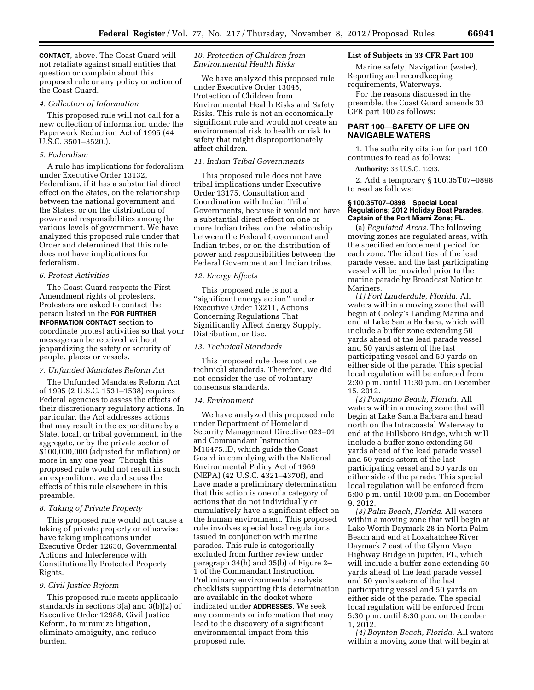**CONTACT**, above. The Coast Guard will not retaliate against small entities that question or complain about this proposed rule or any policy or action of the Coast Guard.

### *4. Collection of Information*

This proposed rule will not call for a new collection of information under the Paperwork Reduction Act of 1995 (44 U.S.C. 3501–3520.).

### *5. Federalism*

A rule has implications for federalism under Executive Order 13132, Federalism, if it has a substantial direct effect on the States, on the relationship between the national government and the States, or on the distribution of power and responsibilities among the various levels of government. We have analyzed this proposed rule under that Order and determined that this rule does not have implications for federalism.

#### *6. Protest Activities*

The Coast Guard respects the First Amendment rights of protesters. Protesters are asked to contact the person listed in the **FOR FURTHER INFORMATION CONTACT** section to coordinate protest activities so that your message can be received without jeopardizing the safety or security of people, places or vessels.

### *7. Unfunded Mandates Reform Act*

The Unfunded Mandates Reform Act of 1995 (2 U.S.C. 1531–1538) requires Federal agencies to assess the effects of their discretionary regulatory actions. In particular, the Act addresses actions that may result in the expenditure by a State, local, or tribal government, in the aggregate, or by the private sector of \$100,000,000 (adjusted for inflation) or more in any one year. Though this proposed rule would not result in such an expenditure, we do discuss the effects of this rule elsewhere in this preamble.

## *8. Taking of Private Property*

This proposed rule would not cause a taking of private property or otherwise have taking implications under Executive Order 12630, Governmental Actions and Interference with Constitutionally Protected Property Rights.

# *9. Civil Justice Reform*

This proposed rule meets applicable standards in sections 3(a) and 3(b)(2) of Executive Order 12988, Civil Justice Reform, to minimize litigation, eliminate ambiguity, and reduce burden.

### *10. Protection of Children from Environmental Health Risks*

We have analyzed this proposed rule under Executive Order 13045, Protection of Children from Environmental Health Risks and Safety Risks. This rule is not an economically significant rule and would not create an environmental risk to health or risk to safety that might disproportionately affect children.

# *11. Indian Tribal Governments*

This proposed rule does not have tribal implications under Executive Order 13175, Consultation and Coordination with Indian Tribal Governments, because it would not have a substantial direct effect on one or more Indian tribes, on the relationship between the Federal Government and Indian tribes, or on the distribution of power and responsibilities between the Federal Government and Indian tribes.

### *12. Energy Effects*

This proposed rule is not a ''significant energy action'' under Executive Order 13211, Actions Concerning Regulations That Significantly Affect Energy Supply, Distribution, or Use.

### *13. Technical Standards*

This proposed rule does not use technical standards. Therefore, we did not consider the use of voluntary consensus standards.

#### *14. Environment*

We have analyzed this proposed rule under Department of Homeland Security Management Directive 023–01 and Commandant Instruction M16475.lD, which guide the Coast Guard in complying with the National Environmental Policy Act of 1969 (NEPA) (42 U.S.C. 4321–4370f), and have made a preliminary determination that this action is one of a category of actions that do not individually or cumulatively have a significant effect on the human environment. This proposed rule involves special local regulations issued in conjunction with marine parades. This rule is categorically excluded from further review under paragraph 34(h) and 35(b) of Figure 2– 1 of the Commandant Instruction. Preliminary environmental analysis checklists supporting this determination are available in the docket where indicated under **ADDRESSES**. We seek any comments or information that may lead to the discovery of a significant environmental impact from this proposed rule.

### **List of Subjects in 33 CFR Part 100**

Marine safety, Navigation (water), Reporting and recordkeeping requirements, Waterways.

For the reasons discussed in the preamble, the Coast Guard amends 33 CFR part 100 as follows:

# **PART 100—SAFETY OF LIFE ON NAVIGABLE WATERS**

1. The authority citation for part 100 continues to read as follows:

**Authority:** 33 U.S.C. 1233.

2. Add a temporary § 100.35T07–0898 to read as follows:

### **§ 100.35T07–0898 Special Local Regulations; 2012 Holiday Boat Parades, Captain of the Port Miami Zone; FL.**

(a) *Regulated Areas.* The following moving zones are regulated areas, with the specified enforcement period for each zone. The identities of the lead parade vessel and the last participating vessel will be provided prior to the marine parade by Broadcast Notice to Mariners.

*(1) Fort Lauderdale, Florida.* All waters within a moving zone that will begin at Cooley's Landing Marina and end at Lake Santa Barbara, which will include a buffer zone extending 50 yards ahead of the lead parade vessel and 50 yards astern of the last participating vessel and 50 yards on either side of the parade. This special local regulation will be enforced from 2:30 p.m. until 11:30 p.m. on December 15, 2012.

*(2) Pompano Beach, Florida.* All waters within a moving zone that will begin at Lake Santa Barbara and head north on the Intracoastal Waterway to end at the Hillsboro Bridge, which will include a buffer zone extending 50 yards ahead of the lead parade vessel and 50 yards astern of the last participating vessel and 50 yards on either side of the parade. This special local regulation will be enforced from 5:00 p.m. until 10:00 p.m. on December 9, 2012.

*(3) Palm Beach, Florida.* All waters within a moving zone that will begin at Lake Worth Daymark 28 in North Palm Beach and end at Loxahatchee River Daymark 7 east of the Glynn Mayo Highway Bridge in Jupiter, FL, which will include a buffer zone extending 50 yards ahead of the lead parade vessel and 50 yards astern of the last participating vessel and 50 yards on either side of the parade. The special local regulation will be enforced from 5:30 p.m. until 8:30 p.m. on December 1, 2012.

*(4) Boynton Beach, Florida.* All waters within a moving zone that will begin at